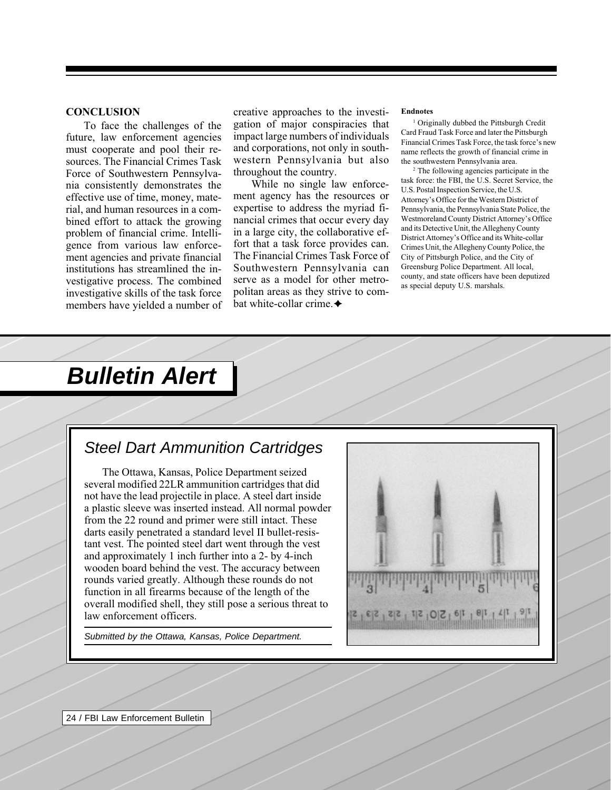#### **CONCLUSION**

To face the challenges of the future, law enforcement agencies must cooperate and pool their resources. The Financial Crimes Task Force of Southwestern Pennsylvania consistently demonstrates the effective use of time, money, material, and human resources in a combined effort to attack the growing problem of financial crime. Intelligence from various law enforcement agencies and private financial institutions has streamlined the investigative process. The combined investigative skills of the task force members have yielded a number of creative approaches to the investigation of major conspiracies that impact large numbers of individuals and corporations, not only in southwestern Pennsylvania but also throughout the country.

While no single law enforcement agency has the resources or expertise to address the myriad financial crimes that occur every day in a large city, the collaborative effort that a task force provides can. The Financial Crimes Task Force of Southwestern Pennsylvania can serve as a model for other metropolitan areas as they strive to combat white-collar crime. $\triangleleft$ 

#### **Endnotes**

<sup>1</sup> Originally dubbed the Pittsburgh Credit Card Fraud Task Force and later the Pittsburgh Financial Crimes Task Force, the task force's new name reflects the growth of financial crime in the southwestern Pennsylvania area.

2 The following agencies participate in the task force: the FBI, the U.S. Secret Service, the U.S. Postal Inspection Service, the U.S. Attorney's Office for the Western District of Pennsylvania, the Pennsylvania State Police, the Westmoreland County District Attorney's Office and its Detective Unit, the Allegheny County District Attorney's Office and its White-collar Crimes Unit, the Allegheny County Police, the City of Pittsburgh Police, and the City of Greensburg Police Department. All local, county, and state officers have been deputized as special deputy U.S. marshals.

# **Bulletin Alert**

## Steel Dart Ammunition Cartridges

The Ottawa, Kansas, Police Department seized several modified 22LR ammunition cartridges that did not have the lead projectile in place. A steel dart inside a plastic sleeve was inserted instead. All normal powder from the 22 round and primer were still intact. These darts easily penetrated a standard level II bullet-resistant vest. The pointed steel dart went through the vest and approximately 1 inch further into a 2- by 4-inch wooden board behind the vest. The accuracy between rounds varied greatly. Although these rounds do not function in all firearms because of the length of the overall modified shell, they still pose a serious threat to law enforcement officers.

Submitted by the Ottawa, Kansas, Police Department.



24 / FBI Law Enforcement Bulletin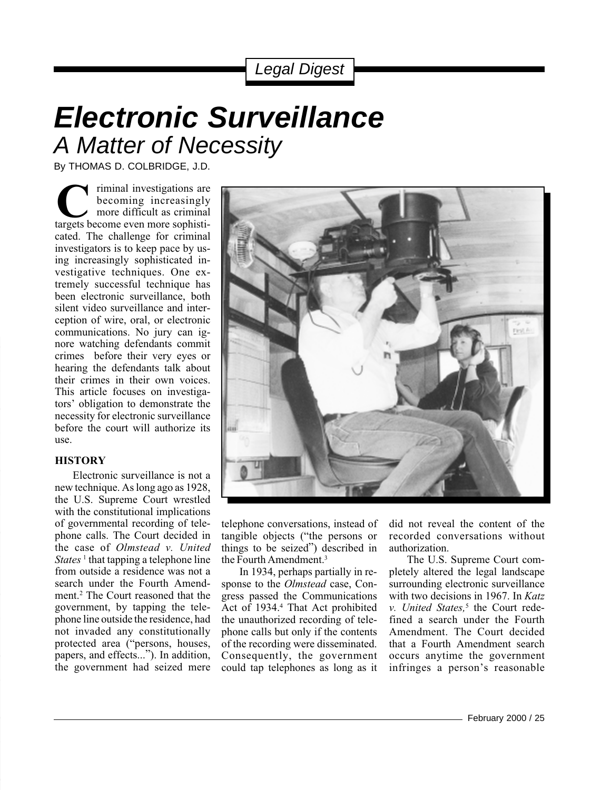## Legal Digest

# **Electronic Surveillance** A Matter of Necessity

By THOMAS D. COLBRIDGE, J.D.

**C**<br> **C** iminal investigations are<br>
the even increasingly<br>
targets become even more sophisticated. The challenge for criminal investigators is to keep pace by using increasingly sophisticated investigative techniques. One extremely successful technique has been electronic surveillance, both silent video surveillance and interception of wire, oral, or electronic communications. No jury can ignore watching defendants commit crimes before their very eyes or hearing the defendants talk about their crimes in their own voices. This article focuses on investigators' obligation to demonstrate the necessity for electronic surveillance before the court will authorize its use. becoming increasingly more difficult as criminal

#### **HISTORY**

Electronic surveillance is not a new technique. As long ago as 1928, the U.S. Supreme Court wrestled with the constitutional implications of governmental recording of telephone calls. The Court decided in the case of *Olmstead v. United States*<sup>1</sup> that tapping a telephone line from outside a residence was not a search under the Fourth Amendment.2 The Court reasoned that the government, by tapping the telephone line outside the residence, had not invaded any constitutionally protected area ("persons, houses, papers, and effects..."). In addition, the government had seized mere



telephone conversations, instead of tangible objects ("the persons or things to be seized") described in the Fourth Amendment.<sup>3</sup>

In 1934, perhaps partially in response to the *Olmstead* case, Congress passed the Communications Act of 1934.<sup>4</sup> That Act prohibited the unauthorized recording of telephone calls but only if the contents of the recording were disseminated. Consequently, the government could tap telephones as long as it

did not reveal the content of the recorded conversations without authorization.

The U.S. Supreme Court completely altered the legal landscape surrounding electronic surveillance with two decisions in 1967. In *Katz* v. United States,<sup>5</sup> the Court redefined a search under the Fourth Amendment. The Court decided that a Fourth Amendment search occurs anytime the government infringes a person's reasonable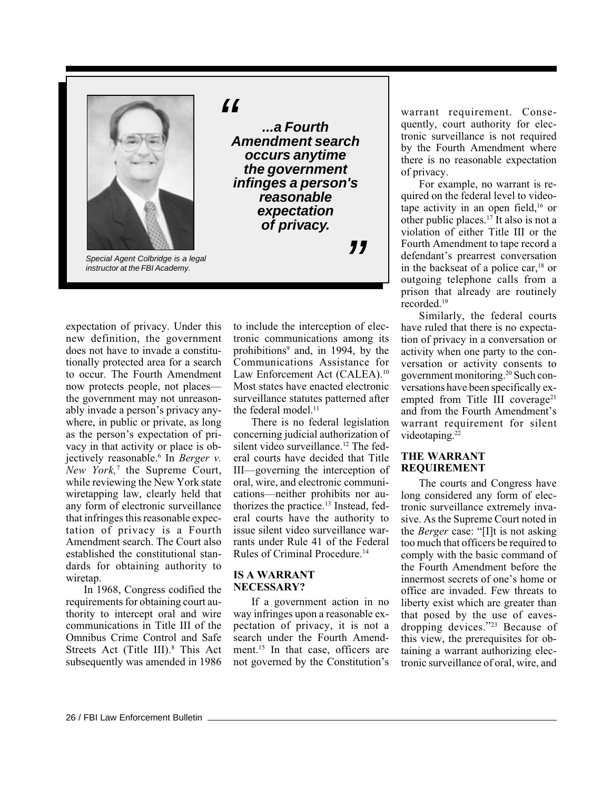

instructor at the FBI Academy.

 $\epsilon$ 

**...a Fourth Amendment search occurs anytime the government infinges a person's reasonable expectation of privacy.**

"

expectation of privacy. Under this new definition, the government does not have to invade a constitutionally protected area for a search to occur. The Fourth Amendment now protects people, not places the government may not unreasonably invade a person's privacy anywhere, in public or private, as long as the person's expectation of privacy in that activity or place is objectively reasonable.6 In *Berger v. New York,*<sup>7</sup> the Supreme Court, while reviewing the New York state wiretapping law, clearly held that any form of electronic surveillance that infringes this reasonable expectation of privacy is a Fourth Amendment search. The Court also established the constitutional standards for obtaining authority to wiretap.

In 1968, Congress codified the requirements for obtaining court authority to intercept oral and wire communications in Title III of the Omnibus Crime Control and Safe Streets Act (Title III).<sup>8</sup> This Act subsequently was amended in 1986

to include the interception of electronic communications among its prohibitions<sup>9</sup> and, in 1994, by the Communications Assistance for Law Enforcement Act (CALEA).<sup>10</sup> Most states have enacted electronic surveillance statutes patterned after the federal model. $<sup>11</sup>$ </sup>

There is no federal legislation concerning judicial authorization of silent video surveillance.<sup>12</sup> The federal courts have decided that Title III—governing the interception of oral, wire, and electronic communications—neither prohibits nor authorizes the practice.13 Instead, federal courts have the authority to issue silent video surveillance warrants under Rule 41 of the Federal Rules of Criminal Procedure.14

#### **IS A WARRANT NECESSARY?**

If a government action in no way infringes upon a reasonable expectation of privacy, it is not a search under the Fourth Amendment.<sup>15</sup> In that case, officers are not governed by the Constitution's

warrant requirement. Consequently, court authority for electronic surveillance is not required by the Fourth Amendment where there is no reasonable expectation of privacy.

For example, no warrant is required on the federal level to videotape activity in an open field,<sup>16</sup> or other public places.17 It also is not a violation of either Title III or the Fourth Amendment to tape record a defendant's prearrest conversation in the backseat of a police car, $18$  or outgoing telephone calls from a prison that already are routinely recorded.19

Similarly, the federal courts have ruled that there is no expectation of privacy in a conversation or activity when one party to the conversation or activity consents to government monitoring.20 Such conversations have been specifically exempted from Title III coverage<sup>21</sup> and from the Fourth Amendment's warrant requirement for silent videotaping.<sup>22</sup>

#### **THE WARRANT REQUIREMENT**

The courts and Congress have long considered any form of electronic surveillance extremely invasive. As the Supreme Court noted in the *Berger* case: "[I]t is not asking too much that officers be required to comply with the basic command of the Fourth Amendment before the innermost secrets of one's home or office are invaded. Few threats to liberty exist which are greater than that posed by the use of eavesdropping devices."<sup>23</sup> Because of this view, the prerequisites for obtaining a warrant authorizing electronic surveillance of oral, wire, and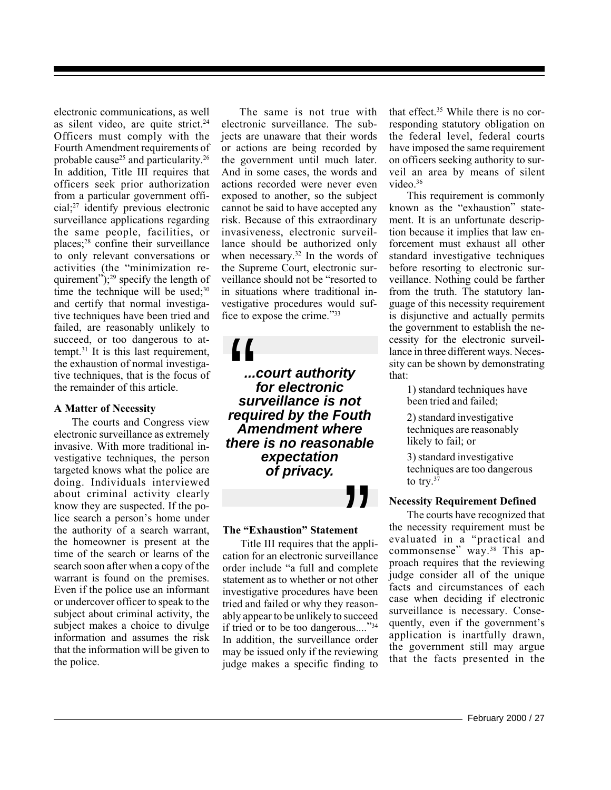electronic communications, as well as silent video, are quite strict.<sup>24</sup> Officers must comply with the Fourth Amendment requirements of probable cause<sup>25</sup> and particularity.<sup>26</sup> In addition, Title III requires that officers seek prior authorization from a particular government official;27 identify previous electronic surveillance applications regarding the same people, facilities, or places;28 confine their surveillance to only relevant conversations or activities (the "minimization requirement");<sup>29</sup> specify the length of time the technique will be used; $30$ and certify that normal investigative techniques have been tried and failed, are reasonably unlikely to succeed, or too dangerous to attempt.31 It is this last requirement, the exhaustion of normal investigative techniques, that is the focus of the remainder of this article.

#### **A Matter of Necessity**

The courts and Congress view electronic surveillance as extremely invasive. With more traditional investigative techniques, the person targeted knows what the police are doing. Individuals interviewed about criminal activity clearly know they are suspected. If the police search a person's home under the authority of a search warrant, the homeowner is present at the time of the search or learns of the search soon after when a copy of the warrant is found on the premises. Even if the police use an informant or undercover officer to speak to the subject about criminal activity, the subject makes a choice to divulge information and assumes the risk that the information will be given to the police.

The same is not true with electronic surveillance. The subjects are unaware that their words or actions are being recorded by the government until much later. And in some cases, the words and actions recorded were never even exposed to another, so the subject cannot be said to have accepted any risk. Because of this extraordinary invasiveness, electronic surveillance should be authorized only when necessary.<sup>32</sup> In the words of the Supreme Court, electronic surveillance should not be "resorted to in situations where traditional investigative procedures would suffice to expose the crime."33

**follogy**<br> *requist authority<br>
for electronic<br>
surveillance is not<br>
required by the Fouth* **...court authority for electronic surveillance is not Amendment where there is no reasonable expectation of privacy.**

#### **The "Exhaustion" Statement**

The "Exhaustion" Statement<br>Title III requires that the appli-<br>cation for an electronic surveillance<br>order include "a full and complete Title III requires that the appliorder include "a full and complete statement as to whether or not other investigative procedures have been tried and failed or why they reasonably appear to be unlikely to succeed if tried or to be too dangerous...."<sup>34</sup> In addition, the surveillance order may be issued only if the reviewing judge makes a specific finding to

that effect.35 While there is no corresponding statutory obligation on the federal level, federal courts have imposed the same requirement on officers seeking authority to surveil an area by means of silent video.<sup>36</sup>

This requirement is commonly known as the "exhaustion" statement. It is an unfortunate description because it implies that law enforcement must exhaust all other standard investigative techniques before resorting to electronic surveillance. Nothing could be farther from the truth. The statutory language of this necessity requirement is disjunctive and actually permits the government to establish the necessity for the electronic surveillance in three different ways. Necessity can be shown by demonstrating that:

> 1) standard techniques have been tried and failed;

2) standard investigative techniques are reasonably likely to fail; or

3) standard investigative techniques are too dangerous to try. $37$ 

### **Necessity Requirement Defined**

The courts have recognized that the necessity requirement must be evaluated in a "practical and commonsense" way.38 This approach requires that the reviewing judge consider all of the unique facts and circumstances of each case when deciding if electronic surveillance is necessary. Consequently, even if the government's application is inartfully drawn, the government still may argue that the facts presented in the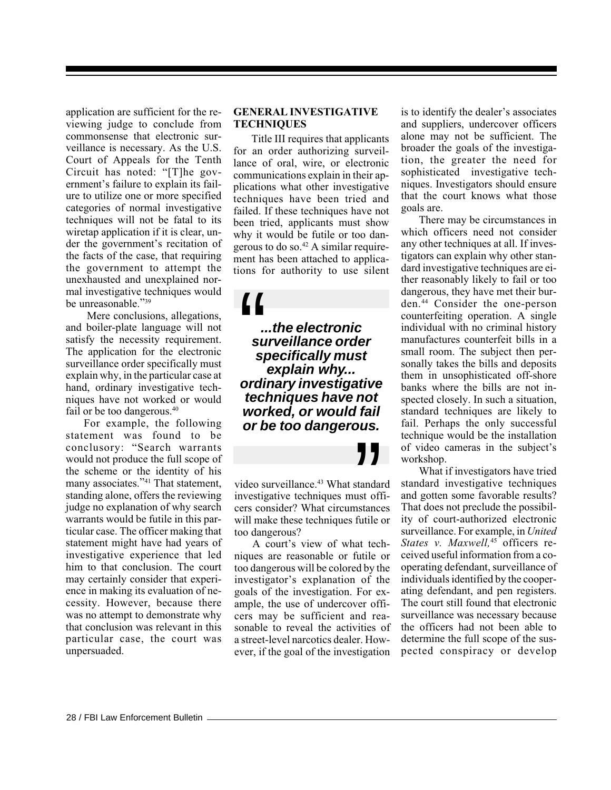application are sufficient for the reviewing judge to conclude from commonsense that electronic surveillance is necessary. As the U.S. Court of Appeals for the Tenth Circuit has noted: "[T]he government's failure to explain its failure to utilize one or more specified categories of normal investigative techniques will not be fatal to its wiretap application if it is clear, under the government's recitation of the facts of the case, that requiring the government to attempt the unexhausted and unexplained normal investigative techniques would be unreasonable."39

 Mere conclusions, allegations, and boiler-plate language will not satisfy the necessity requirement. The application for the electronic surveillance order specifically must explain why, in the particular case at hand, ordinary investigative techniques have not worked or would fail or be too dangerous.<sup>40</sup>

For example, the following statement was found to be conclusory: "Search warrants would not produce the full scope of the scheme or the identity of his many associates."<sup>41</sup> That statement, standing alone, offers the reviewing judge no explanation of why search warrants would be futile in this particular case. The officer making that statement might have had years of investigative experience that led him to that conclusion. The court may certainly consider that experience in making its evaluation of necessity. However, because there was no attempt to demonstrate why that conclusion was relevant in this particular case, the court was unpersuaded.

#### **GENERAL INVESTIGATIVE TECHNIQUES**

Title III requires that applicants for an order authorizing surveillance of oral, wire, or electronic communications explain in their applications what other investigative techniques have been tried and failed. If these techniques have not been tried, applicants must show why it would be futile or too dangerous to do so.42 A similar requirement has been attached to applications for authority to use silent

 $\begin{array}{c}\n1 \\
\begin{array}{c}\n\cdot \\
\cdot \\
\cdot \\
\cdot \\
\cdot\n\end{array}\n\end{array}$ **...the electronic surveillance order specifically must explain why... ordinary investigative techniques have not worked, or would fail or be too dangerous.**

Video surveillance.<sup>43</sup> What standard<br>
investigative techniques must offi-<br>
cers consider? What circumstances<br>
will make these techniques futile or video surveillance.<sup>43</sup> What standard investigative techniques must officers consider? What circumstances too dangerous?

A court's view of what techniques are reasonable or futile or too dangerous will be colored by the investigator's explanation of the goals of the investigation. For example, the use of undercover officers may be sufficient and reasonable to reveal the activities of a street-level narcotics dealer. However, if the goal of the investigation

is to identify the dealer's associates and suppliers, undercover officers alone may not be sufficient. The broader the goals of the investigation, the greater the need for sophisticated investigative techniques. Investigators should ensure that the court knows what those goals are.

There may be circumstances in which officers need not consider any other techniques at all. If investigators can explain why other standard investigative techniques are either reasonably likely to fail or too dangerous, they have met their burden.44 Consider the one-person counterfeiting operation. A single individual with no criminal history manufactures counterfeit bills in a small room. The subject then personally takes the bills and deposits them in unsophisticated off-shore banks where the bills are not inspected closely. In such a situation, standard techniques are likely to fail. Perhaps the only successful technique would be the installation of video cameras in the subject's workshop.

What if investigators have tried standard investigative techniques and gotten some favorable results? That does not preclude the possibility of court-authorized electronic surveillance. For example, in *United States v. Maxwell,*45 officers received useful information from a cooperating defendant, surveillance of individuals identified by the cooperating defendant, and pen registers. The court still found that electronic surveillance was necessary because the officers had not been able to determine the full scope of the suspected conspiracy or develop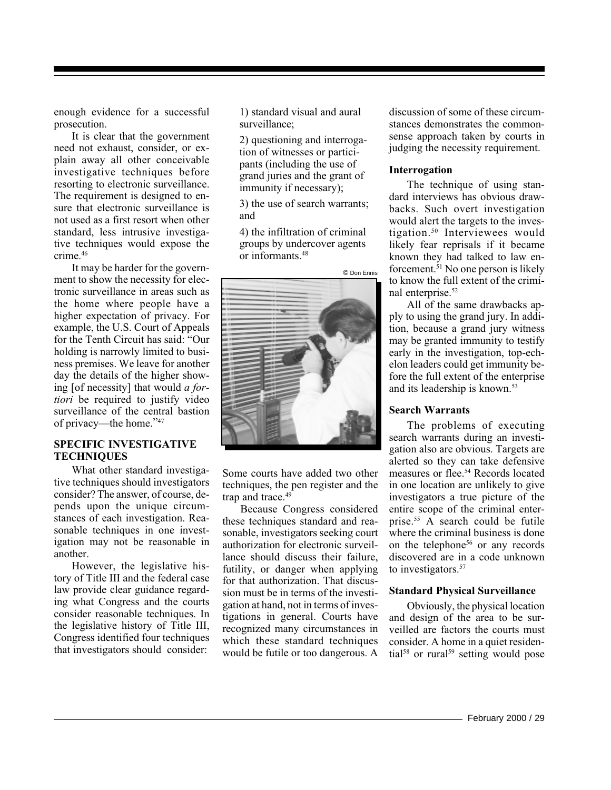enough evidence for a successful prosecution.

It is clear that the government need not exhaust, consider, or explain away all other conceivable investigative techniques before resorting to electronic surveillance. The requirement is designed to ensure that electronic surveillance is not used as a first resort when other standard, less intrusive investigative techniques would expose the crime.46

It may be harder for the government to show the necessity for electronic surveillance in areas such as the home where people have a higher expectation of privacy. For example, the U.S. Court of Appeals for the Tenth Circuit has said: "Our holding is narrowly limited to business premises. We leave for another day the details of the higher showing [of necessity] that would *a fortiori* be required to justify video surveillance of the central bastion of privacy—the home."47

#### **SPECIFIC INVESTIGATIVE TECHNIQUES**

What other standard investigative techniques should investigators consider? The answer, of course, depends upon the unique circumstances of each investigation. Reasonable techniques in one investigation may not be reasonable in another.

However, the legislative history of Title III and the federal case law provide clear guidance regarding what Congress and the courts consider reasonable techniques. In the legislative history of Title III, Congress identified four techniques that investigators should consider:

1) standard visual and aural surveillance;

2) questioning and interrogation of witnesses or participants (including the use of grand juries and the grant of immunity if necessary);

3) the use of search warrants; and

4) the infiltration of criminal groups by undercover agents or informants.48



Some courts have added two other techniques, the pen register and the trap and trace.<sup>49</sup>

Because Congress considered these techniques standard and reasonable, investigators seeking court authorization for electronic surveillance should discuss their failure, futility, or danger when applying for that authorization. That discussion must be in terms of the investigation at hand, not in terms of investigations in general. Courts have recognized many circumstances in which these standard techniques would be futile or too dangerous. A

discussion of some of these circumstances demonstrates the commonsense approach taken by courts in judging the necessity requirement.

#### **Interrogation**

The technique of using standard interviews has obvious drawbacks. Such overt investigation would alert the targets to the investigation.50 Interviewees would likely fear reprisals if it became known they had talked to law enforcement.<sup>51</sup> No one person is likely to know the full extent of the criminal enterprise.<sup>52</sup>

All of the same drawbacks apply to using the grand jury. In addition, because a grand jury witness may be granted immunity to testify early in the investigation, top-echelon leaders could get immunity before the full extent of the enterprise and its leadership is known.53

#### **Search Warrants**

The problems of executing search warrants during an investigation also are obvious. Targets are alerted so they can take defensive measures or flee.54 Records located in one location are unlikely to give investigators a true picture of the entire scope of the criminal enterprise.55 A search could be futile where the criminal business is done on the telephone<sup>56</sup> or any records discovered are in a code unknown to investigators.<sup>57</sup>

#### **Standard Physical Surveillance**

Obviously, the physical location and design of the area to be surveilled are factors the courts must consider. A home in a quiet residential<sup>58</sup> or rural<sup>59</sup> setting would pose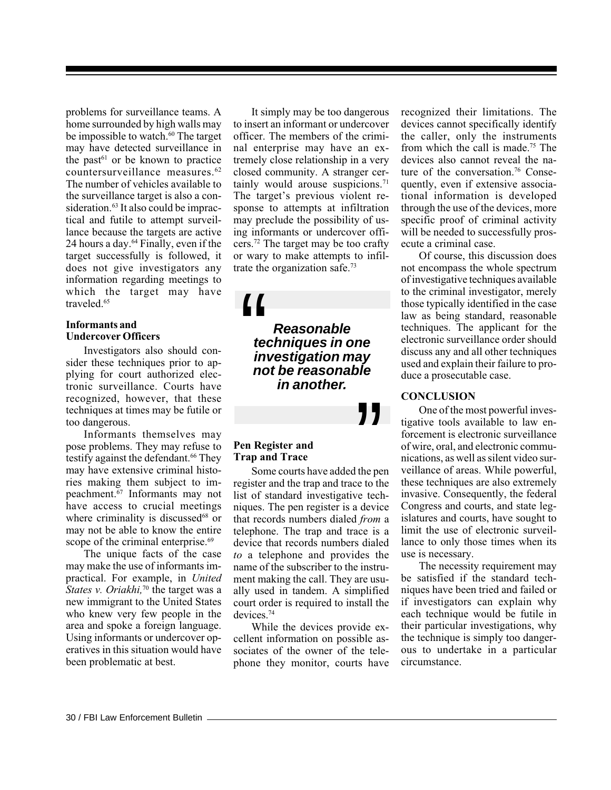problems for surveillance teams. A home surrounded by high walls may be impossible to watch.<sup>60</sup> The target may have detected surveillance in the past<sup> $61$ </sup> or be known to practice countersurveillance measures.62 The number of vehicles available to the surveillance target is also a consideration.<sup>63</sup> It also could be impractical and futile to attempt surveillance because the targets are active 24 hours a day. $64$  Finally, even if the target successfully is followed, it does not give investigators any information regarding meetings to which the target may have traveled.<sup>65</sup>

#### **Informants and Undercover Officers**

Investigators also should consider these techniques prior to applying for court authorized electronic surveillance. Courts have recognized, however, that these techniques at times may be futile or too dangerous.

Informants themselves may pose problems. They may refuse to testify against the defendant.<sup>66</sup> They may have extensive criminal histories making them subject to impeachment.67 Informants may not have access to crucial meetings where criminality is discussed $68$  or may not be able to know the entire scope of the criminal enterprise.<sup>69</sup>

The unique facts of the case may make the use of informants impractical. For example, in *United States v. Oriakhi*,<sup>70</sup> the target was a new immigrant to the United States who knew very few people in the area and spoke a foreign language. Using informants or undercover operatives in this situation would have been problematic at best.

It simply may be too dangerous to insert an informant or undercover officer. The members of the criminal enterprise may have an extremely close relationship in a very closed community. A stranger certainly would arouse suspicions.<sup>71</sup> The target's previous violent response to attempts at infiltration may preclude the possibility of using informants or undercover officers.72 The target may be too crafty or wary to make attempts to infiltrate the organization safe.73

 $\mathbf{H}$ <br> $\mathbf{f}$ <br> $\mathbf{e}$ <br> $\mathbf{f}$ <br> $\mathbf{e}$ <br> $\mathbf{f}$ <br> $\mathbf{e}$ **Reasonable techniques in one investigation may not be reasonable in another.**

### **Pen Register and Trap and Trace**

 $"$ <br>the percent to the percent of the space of the space of the space of the space of the space of the space of the space of the space of the space of the space of the space of the space of the space of the space of the s Some courts have added the pen register and the trap and trace to the list of standard investigative techniques. The pen register is a device that records numbers dialed *from* a telephone. The trap and trace is a device that records numbers dialed *to* a telephone and provides the name of the subscriber to the instrument making the call. They are usually used in tandem. A simplified court order is required to install the devices.74

While the devices provide excellent information on possible associates of the owner of the telephone they monitor, courts have

recognized their limitations. The devices cannot specifically identify the caller, only the instruments from which the call is made.75 The devices also cannot reveal the nature of the conversation.<sup>76</sup> Consequently, even if extensive associational information is developed through the use of the devices, more specific proof of criminal activity will be needed to successfully prosecute a criminal case.

Of course, this discussion does not encompass the whole spectrum of investigative techniques available to the criminal investigator, merely those typically identified in the case law as being standard, reasonable techniques. The applicant for the electronic surveillance order should discuss any and all other techniques used and explain their failure to produce a prosecutable case.

#### **CONCLUSION**

One of the most powerful investigative tools available to law enforcement is electronic surveillance of wire, oral, and electronic communications, as well as silent video surveillance of areas. While powerful, these techniques are also extremely invasive. Consequently, the federal Congress and courts, and state legislatures and courts, have sought to limit the use of electronic surveillance to only those times when its use is necessary.

The necessity requirement may be satisfied if the standard techniques have been tried and failed or if investigators can explain why each technique would be futile in their particular investigations, why the technique is simply too dangerous to undertake in a particular circumstance.